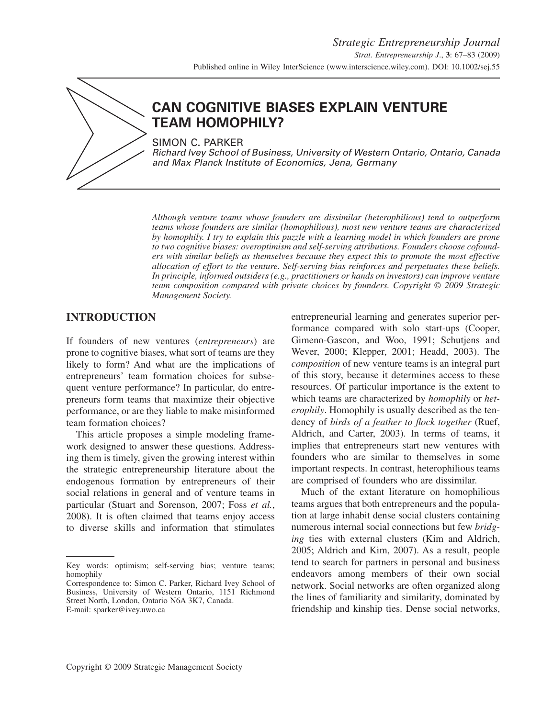

# **CAN COGNITIVE BIASES EXPLAIN VENTURE TEAM HOMOPHILY?**

SIMON C. PARKER

*Richard Ivey School of Business, University of Western Ontario, Ontario, Canada and Max Planck Institute of Economics, Jena, Germany*

*Although venture teams whose founders are dissimilar (heterophilious) tend to outperform teams whose founders are similar (homophilious), most new venture teams are characterized by homophily. I try to explain this puzzle with a learning model in which founders are prone to two cognitive biases: overoptimism and self-serving attributions. Founders choose cofounders with similar beliefs as themselves because they expect this to promote the most effective allocation of effort to the venture. Self-serving bias reinforces and perpetuates these beliefs. In principle, informed outsiders (e.g., practitioners or hands on investors) can improve venture team composition compared with private choices by founders. Copyright © 2009 Strategic Management Society.*

# **INTRODUCTION**

If founders of new ventures (*entrepreneurs*) are prone to cognitive biases, what sort of teams are they likely to form? And what are the implications of entrepreneurs' team formation choices for subsequent venture performance? In particular, do entrepreneurs form teams that maximize their objective performance, or are they liable to make misinformed team formation choices?

This article proposes a simple modeling framework designed to answer these questions. Addressing them is timely, given the growing interest within the strategic entrepreneurship literature about the endogenous formation by entrepreneurs of their social relations in general and of venture teams in particular (Stuart and Sorenson, 2007; Foss *et al.*, 2008). It is often claimed that teams enjoy access to diverse skills and information that stimulates

entrepreneurial learning and generates superior performance compared with solo start-ups (Cooper, Gimeno-Gascon, and Woo, 1991; Schutjens and Wever, 2000; Klepper, 2001; Headd, 2003). The *composition* of new venture teams is an integral part of this story, because it determines access to these resources. Of particular importance is the extent to which teams are characterized by *homophily* or *heterophily*. Homophily is usually described as the tendency of *birds of a feather to flock together* (Ruef, Aldrich, and Carter, 2003). In terms of teams, it implies that entrepreneurs start new ventures with founders who are similar to themselves in some important respects. In contrast, heterophilious teams are comprised of founders who are dissimilar.

Much of the extant literature on homophilious teams argues that both entrepreneurs and the population at large inhabit dense social clusters containing numerous internal social connections but few *bridging* ties with external clusters (Kim and Aldrich, 2005; Aldrich and Kim, 2007). As a result, people tend to search for partners in personal and business endeavors among members of their own social network. Social networks are often organized along the lines of familiarity and similarity, dominated by friendship and kinship ties. Dense social networks,

Key words: optimism; self-serving bias; venture teams; homophily

Correspondence to: Simon C. Parker, Richard Ivey School of Business, University of Western Ontario, 1151 Richmond Street North, London, Ontario N6A 3K7, Canada. E-mail: sparker@ivey.uwo.ca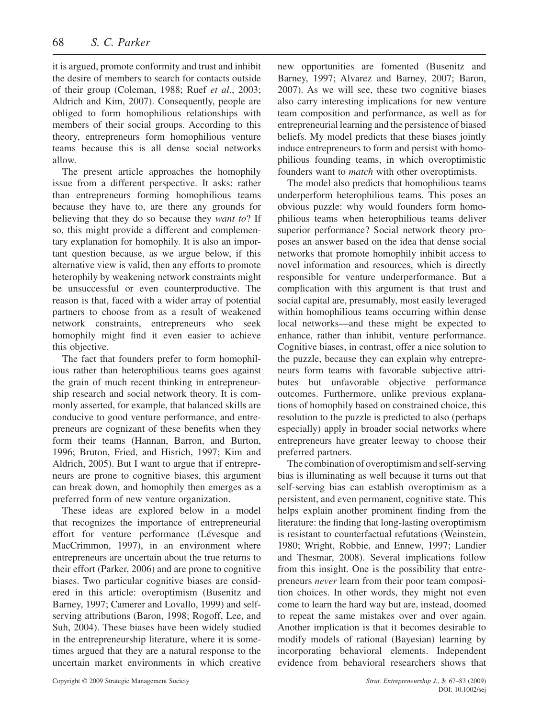it is argued, promote conformity and trust and inhibit the desire of members to search for contacts outside of their group (Coleman, 1988; Ruef *et al*., 2003; Aldrich and Kim, 2007). Consequently, people are obliged to form homophilious relationships with members of their social groups. According to this theory, entrepreneurs form homophilious venture teams because this is all dense social networks allow.

The present article approaches the homophily issue from a different perspective. It asks: rather than entrepreneurs forming homophilious teams because they have to, are there any grounds for believing that they do so because they *want to*? If so, this might provide a different and complementary explanation for homophily. It is also an important question because, as we argue below, if this alternative view is valid, then any efforts to promote heterophily by weakening network constraints might be unsuccessful or even counterproductive. The reason is that, faced with a wider array of potential partners to choose from as a result of weakened network constraints, entrepreneurs who seek homophily might find it even easier to achieve this objective.

The fact that founders prefer to form homophilious rather than heterophilious teams goes against the grain of much recent thinking in entrepreneurship research and social network theory. It is commonly asserted, for example, that balanced skills are conducive to good venture performance, and entrepreneurs are cognizant of these benefits when they form their teams (Hannan, Barron, and Burton, 1996; Bruton, Fried, and Hisrich, 1997; Kim and Aldrich, 2005). But I want to argue that if entrepreneurs are prone to cognitive biases, this argument can break down, and homophily then emerges as a preferred form of new venture organization.

These ideas are explored below in a model that recognizes the importance of entrepreneurial effort for venture performance (Lévesque and MacCrimmon, 1997), in an environment where entrepreneurs are uncertain about the true returns to their effort (Parker, 2006) and are prone to cognitive biases. Two particular cognitive biases are considered in this article: overoptimism (Busenitz and Barney, 1997; Camerer and Lovallo, 1999) and selfserving attributions (Baron, 1998; Rogoff, Lee, and Suh, 2004). These biases have been widely studied in the entrepreneurship literature, where it is sometimes argued that they are a natural response to the uncertain market environments in which creative

new opportunities are fomented (Busenitz and Barney, 1997; Alvarez and Barney, 2007; Baron, 2007). As we will see, these two cognitive biases also carry interesting implications for new venture team composition and performance, as well as for entrepreneurial learning and the persistence of biased beliefs. My model predicts that these biases jointly induce entrepreneurs to form and persist with homophilious founding teams, in which overoptimistic founders want to *match* with other overoptimists.

The model also predicts that homophilious teams underperform heterophilious teams. This poses an obvious puzzle: why would founders form homophilious teams when heterophilious teams deliver superior performance? Social network theory proposes an answer based on the idea that dense social networks that promote homophily inhibit access to novel information and resources, which is directly responsible for venture underperformance. But a complication with this argument is that trust and social capital are, presumably, most easily leveraged within homophilious teams occurring within dense local networks—and these might be expected to enhance, rather than inhibit, venture performance. Cognitive biases, in contrast, offer a nice solution to the puzzle, because they can explain why entrepreneurs form teams with favorable subjective attributes but unfavorable objective performance outcomes. Furthermore, unlike previous explanations of homophily based on constrained choice, this resolution to the puzzle is predicted to also (perhaps especially) apply in broader social networks where entrepreneurs have greater leeway to choose their preferred partners.

The combination of overoptimism and self-serving bias is illuminating as well because it turns out that self-serving bias can establish overoptimism as a persistent, and even permanent, cognitive state. This helps explain another prominent finding from the literature: the finding that long-lasting overoptimism is resistant to counterfactual refutations (Weinstein, 1980; Wright, Robbie, and Ennew, 1997; Landier and Thesmar, 2008). Several implications follow from this insight. One is the possibility that entrepreneurs *never* learn from their poor team composition choices. In other words, they might not even come to learn the hard way but are, instead, doomed to repeat the same mistakes over and over again. Another implication is that it becomes desirable to modify models of rational (Bayesian) learning by incorporating behavioral elements. Independent evidence from behavioral researchers shows that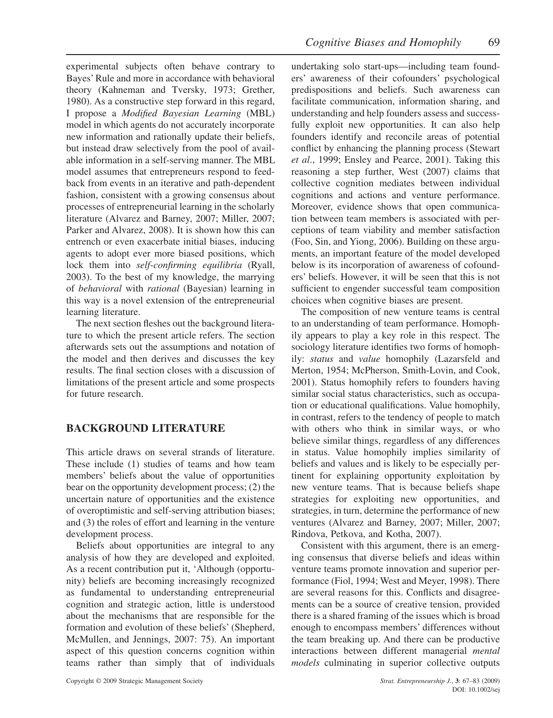experimental subjects often behave contrary to Bayes' Rule and more in accordance with behavioral theory (Kahneman and Tversky, 1973; Grether, 1980). As a constructive step forward in this regard, I propose a *Modified Bayesian Learning* (MBL) model in which agents do not accurately incorporate new information and rationally update their beliefs, but instead draw selectively from the pool of available information in a self-serving manner. The MBL model assumes that entrepreneurs respond to feedback from events in an iterative and path-dependent fashion, consistent with a growing consensus about processes of entrepreneurial learning in the scholarly literature (Alvarez and Barney, 2007; Miller, 2007; Parker and Alvarez, 2008). It is shown how this can entrench or even exacerbate initial biases, inducing agents to adopt ever more biased positions, which lock them into *self-confirming equilibria* (Ryall, 2003). To the best of my knowledge, the marrying of *behavioral* with *rational* (Bayesian) learning in this way is a novel extension of the entrepreneurial learning literature.

The next section fleshes out the background literature to which the present article refers. The section afterwards sets out the assumptions and notation of the model and then derives and discusses the key results. The final section closes with a discussion of limitations of the present article and some prospects for future research.

# **BACKGROUND LITERATURE**

This article draws on several strands of literature. These include (1) studies of teams and how team members' beliefs about the value of opportunities bear on the opportunity development process; (2) the uncertain nature of opportunities and the existence of overoptimistic and self-serving attribution biases; and (3) the roles of effort and learning in the venture development process.

Beliefs about opportunities are integral to any analysis of how they are developed and exploited. As a recent contribution put it, 'Although (opportunity) beliefs are becoming increasingly recognized as fundamental to understanding entrepreneurial cognition and strategic action, little is understood about the mechanisms that are responsible for the formation and evolution of these beliefs' (Shepherd, McMullen, and Jennings, 2007: 75). An important aspect of this question concerns cognition within teams rather than simply that of individuals

undertaking solo start-ups—including team founders' awareness of their cofounders' psychological predispositions and beliefs. Such awareness can facilitate communication, information sharing, and understanding and help founders assess and successfully exploit new opportunities. It can also help founders identify and reconcile areas of potential conflict by enhancing the planning process (Stewart *et al*., 1999; Ensley and Pearce, 2001). Taking this reasoning a step further, West (2007) claims that collective cognition mediates between individual cognitions and actions and venture performance. Moreover, evidence shows that open communication between team members is associated with perceptions of team viability and member satisfaction (Foo, Sin, and Yiong, 2006). Building on these arguments, an important feature of the model developed below is its incorporation of awareness of cofounders' beliefs. However, it will be seen that this is not sufficient to engender successful team composition choices when cognitive biases are present.

The composition of new venture teams is central to an understanding of team performance. Homophily appears to play a key role in this respect. The sociology literature identifies two forms of homophily: *status* and *value* homophily (Lazarsfeld and Merton, 1954; McPherson, Smith-Lovin, and Cook, 2001). Status homophily refers to founders having similar social status characteristics, such as occupation or educational qualifications. Value homophily, in contrast, refers to the tendency of people to match with others who think in similar ways, or who believe similar things, regardless of any differences in status. Value homophily implies similarity of beliefs and values and is likely to be especially pertinent for explaining opportunity exploitation by new venture teams. That is because beliefs shape strategies for exploiting new opportunities, and strategies, in turn, determine the performance of new ventures (Alvarez and Barney, 2007; Miller, 2007; Rindova, Petkova, and Kotha, 2007).

Consistent with this argument, there is an emerging consensus that diverse beliefs and ideas within venture teams promote innovation and superior performance (Fiol, 1994; West and Meyer, 1998). There are several reasons for this. Conflicts and disagreements can be a source of creative tension, provided there is a shared framing of the issues which is broad enough to encompass members' differences without the team breaking up. And there can be productive interactions between different managerial *mental models* culminating in superior collective outputs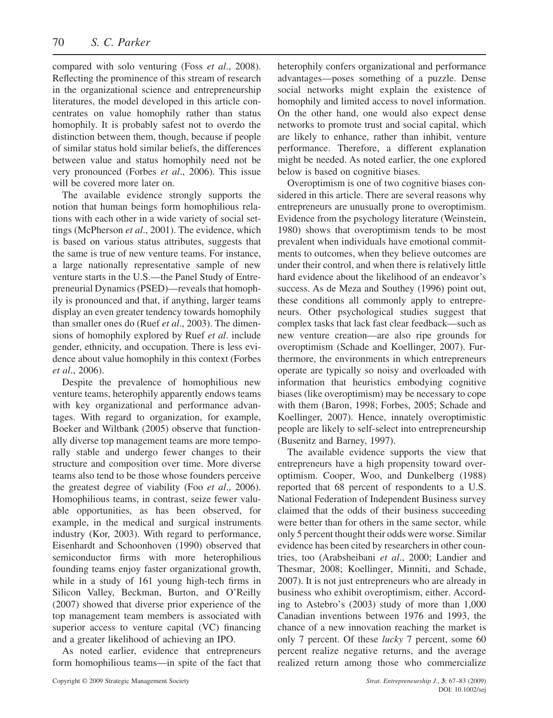compared with solo venturing (Foss *et al*., 2008). Reflecting the prominence of this stream of research in the organizational science and entrepreneurship literatures, the model developed in this article concentrates on value homophily rather than status homophily. It is probably safest not to overdo the distinction between them, though, because if people of similar status hold similar beliefs, the differences between value and status homophily need not be very pronounced (Forbes *et al*., 2006). This issue will be covered more later on.

The available evidence strongly supports the notion that human beings form homophilious relations with each other in a wide variety of social settings (McPherson *et al*., 2001). The evidence, which is based on various status attributes, suggests that the same is true of new venture teams. For instance, a large nationally representative sample of new venture starts in the U.S.—the Panel Study of Entrepreneurial Dynamics (PSED)—reveals that homophily is pronounced and that, if anything, larger teams display an even greater tendency towards homophily than smaller ones do (Ruef *et al*., 2003). The dimensions of homophily explored by Ruef *et al*. include gender, ethnicity, and occupation. There is less evidence about value homophily in this context (Forbes *et al*., 2006).

Despite the prevalence of homophilious new venture teams, heterophily apparently endows teams with key organizational and performance advantages. With regard to organization, for example, Boeker and Wiltbank (2005) observe that functionally diverse top management teams are more temporally stable and undergo fewer changes to their structure and composition over time. More diverse teams also tend to be those whose founders perceive the greatest degree of viability (Foo *et al*., 2006). Homophilious teams, in contrast, seize fewer valuable opportunities, as has been observed, for example, in the medical and surgical instruments industry (Kor, 2003). With regard to performance, Eisenhardt and Schoonhoven (1990) observed that semiconductor firms with more heterophilious founding teams enjoy faster organizational growth, while in a study of 161 young high-tech firms in Silicon Valley, Beckman, Burton, and O'Reilly (2007) showed that diverse prior experience of the top management team members is associated with superior access to venture capital (VC) financing and a greater likelihood of achieving an IPO.

As noted earlier, evidence that entrepreneurs form homophilious teams—in spite of the fact that heterophily confers organizational and performance advantages—poses something of a puzzle. Dense social networks might explain the existence of homophily and limited access to novel information. On the other hand, one would also expect dense networks to promote trust and social capital, which are likely to enhance, rather than inhibit, venture performance. Therefore, a different explanation might be needed. As noted earlier, the one explored below is based on cognitive biases.

Overoptimism is one of two cognitive biases considered in this article. There are several reasons why entrepreneurs are unusually prone to overoptimism. Evidence from the psychology literature (Weinstein, 1980) shows that overoptimism tends to be most prevalent when individuals have emotional commitments to outcomes, when they believe outcomes are under their control, and when there is relatively little hard evidence about the likelihood of an endeavor's success. As de Meza and Southey (1996) point out, these conditions all commonly apply to entrepreneurs. Other psychological studies suggest that complex tasks that lack fast clear feedback—such as new venture creation—are also ripe grounds for overoptimism (Schade and Koellinger, 2007). Furthermore, the environments in which entrepreneurs operate are typically so noisy and overloaded with information that heuristics embodying cognitive biases (like overoptimism) may be necessary to cope with them (Baron, 1998; Forbes, 2005; Schade and Koellinger, 2007). Hence, innately overoptimistic people are likely to self-select into entrepreneurship (Busenitz and Barney, 1997).

The available evidence supports the view that entrepreneurs have a high propensity toward overoptimism. Cooper, Woo, and Dunkelberg (1988) reported that 68 percent of respondents to a U.S. National Federation of Independent Business survey claimed that the odds of their business succeeding were better than for others in the same sector, while only 5 percent thought their odds were worse. Similar evidence has been cited by researchers in other countries, too (Arabsheibani *et al*., 2000; Landier and Thesmar, 2008; Koellinger, Minniti, and Schade, 2007). It is not just entrepreneurs who are already in business who exhibit overoptimism, either. According to Astebro's (2003) study of more than 1,000 Canadian inventions between 1976 and 1993, the chance of a new innovation reaching the market is only 7 percent. Of these *lucky* 7 percent, some 60 percent realize negative returns, and the average realized return among those who commercialize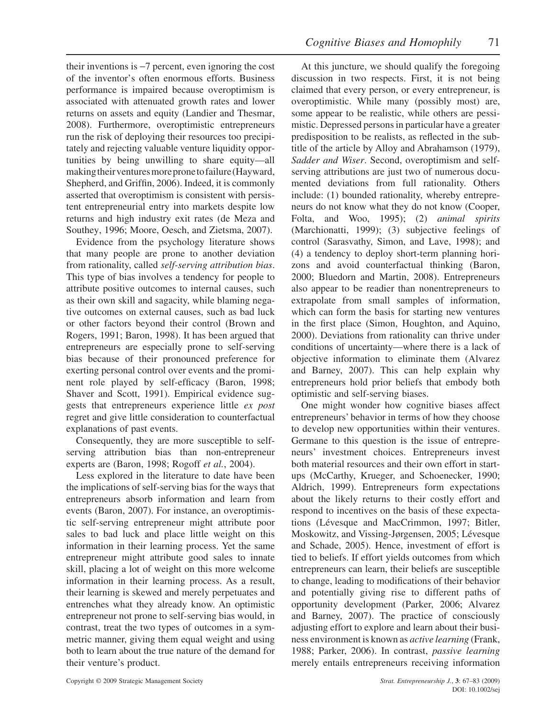their inventions is −7 percent, even ignoring the cost of the inventor's often enormous efforts. Business performance is impaired because overoptimism is associated with attenuated growth rates and lower returns on assets and equity (Landier and Thesmar, 2008). Furthermore, overoptimistic entrepreneurs run the risk of deploying their resources too precipitately and rejecting valuable venture liquidity opportunities by being unwilling to share equity—all making their ventures more prone to failure (Hayward, Shepherd, and Griffin, 2006). Indeed, it is commonly asserted that overoptimism is consistent with persistent entrepreneurial entry into markets despite low returns and high industry exit rates (de Meza and Southey, 1996; Moore, Oesch, and Zietsma, 2007).

Evidence from the psychology literature shows that many people are prone to another deviation from rationality, called *self-serving attribution bias*. This type of bias involves a tendency for people to attribute positive outcomes to internal causes, such as their own skill and sagacity, while blaming negative outcomes on external causes, such as bad luck or other factors beyond their control (Brown and Rogers, 1991; Baron, 1998). It has been argued that entrepreneurs are especially prone to self-serving bias because of their pronounced preference for exerting personal control over events and the prominent role played by self-efficacy (Baron, 1998; Shaver and Scott, 1991). Empirical evidence suggests that entrepreneurs experience little *ex post* regret and give little consideration to counterfactual explanations of past events.

Consequently, they are more susceptible to selfserving attribution bias than non-entrepreneur experts are (Baron, 1998; Rogoff *et al.*, 2004).

Less explored in the literature to date have been the implications of self-serving bias for the ways that entrepreneurs absorb information and learn from events (Baron, 2007). For instance, an overoptimistic self-serving entrepreneur might attribute poor sales to bad luck and place little weight on this information in their learning process. Yet the same entrepreneur might attribute good sales to innate skill, placing a lot of weight on this more welcome information in their learning process. As a result, their learning is skewed and merely perpetuates and entrenches what they already know. An optimistic entrepreneur not prone to self-serving bias would, in contrast, treat the two types of outcomes in a symmetric manner, giving them equal weight and using both to learn about the true nature of the demand for their venture's product.

At this juncture, we should qualify the foregoing discussion in two respects. First, it is not being claimed that every person, or every entrepreneur, is overoptimistic. While many (possibly most) are, some appear to be realistic, while others are pessimistic. Depressed persons in particular have a greater predisposition to be realists, as reflected in the subtitle of the article by Alloy and Abrahamson (1979), *Sadder and Wiser*. Second, overoptimism and selfserving attributions are just two of numerous documented deviations from full rationality. Others include: (1) bounded rationality, whereby entrepreneurs do not know what they do not know (Cooper, Folta, and Woo, 1995); (2) *animal spirits* (Marchionatti, 1999); (3) subjective feelings of control (Sarasvathy, Simon, and Lave, 1998); and (4) a tendency to deploy short-term planning horizons and avoid counterfactual thinking (Baron, 2000; Bluedorn and Martin, 2008). Entrepreneurs also appear to be readier than nonentrepreneurs to extrapolate from small samples of information, which can form the basis for starting new ventures in the first place (Simon, Houghton, and Aquino, 2000). Deviations from rationality can thrive under conditions of uncertainty—where there is a lack of objective information to eliminate them (Alvarez and Barney, 2007). This can help explain why entrepreneurs hold prior beliefs that embody both optimistic and self-serving biases.

One might wonder how cognitive biases affect entrepreneurs' behavior in terms of how they choose to develop new opportunities within their ventures. Germane to this question is the issue of entrepreneurs' investment choices. Entrepreneurs invest both material resources and their own effort in startups (McCarthy, Krueger, and Schoenecker, 1990; Aldrich, 1999). Entrepreneurs form expectations about the likely returns to their costly effort and respond to incentives on the basis of these expectations (Lévesque and MacCrimmon, 1997; Bitler, Moskowitz, and Vissing-Jørgensen, 2005; Lévesque and Schade, 2005). Hence, investment of effort is tied to beliefs. If effort yields outcomes from which entrepreneurs can learn, their beliefs are susceptible to change, leading to modifications of their behavior and potentially giving rise to different paths of opportunity development (Parker, 2006; Alvarez and Barney, 2007). The practice of consciously adjusting effort to explore and learn about their business environment is known as *active learning* (Frank, 1988; Parker, 2006). In contrast, *passive learning* merely entails entrepreneurs receiving information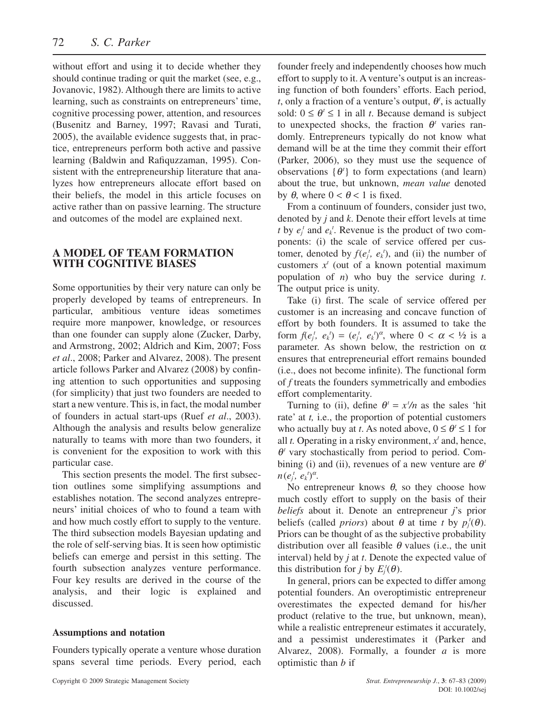without effort and using it to decide whether they should continue trading or quit the market (see, e.g., Jovanovic, 1982). Although there are limits to active learning, such as constraints on entrepreneurs' time, cognitive processing power, attention, and resources (Busenitz and Barney, 1997; Ravasi and Turati, 2005), the available evidence suggests that, in practice, entrepreneurs perform both active and passive learning (Baldwin and Rafiquzzaman, 1995). Consistent with the entrepreneurship literature that analyzes how entrepreneurs allocate effort based on their beliefs, the model in this article focuses on active rather than on passive learning. The structure and outcomes of the model are explained next.

## **A MODEL OF TEAM FORMATION WITH COGNITIVE BIASES**

Some opportunities by their very nature can only be properly developed by teams of entrepreneurs. In particular, ambitious venture ideas sometimes require more manpower, knowledge, or resources than one founder can supply alone (Zucker, Darby, and Armstrong, 2002; Aldrich and Kim, 2007; Foss *et al*., 2008; Parker and Alvarez, 2008). The present article follows Parker and Alvarez (2008) by confining attention to such opportunities and supposing (for simplicity) that just two founders are needed to start a new venture. This is, in fact, the modal number of founders in actual start-ups (Ruef *et al*., 2003). Although the analysis and results below generalize naturally to teams with more than two founders, it is convenient for the exposition to work with this particular case.

This section presents the model. The first subsection outlines some simplifying assumptions and establishes notation. The second analyzes entrepreneurs' initial choices of who to found a team with and how much costly effort to supply to the venture. The third subsection models Bayesian updating and the role of self-serving bias. It is seen how optimistic beliefs can emerge and persist in this setting. The fourth subsection analyzes venture performance. Four key results are derived in the course of the analysis, and their logic is explained and discussed.

#### **Assumptions and notation**

Founders typically operate a venture whose duration spans several time periods. Every period, each

founder freely and independently chooses how much effort to supply to it. A venture's output is an increasing function of both founders' efforts. Each period, *t*, only a fraction of a venture's output,  $\theta^t$ , is actually sold:  $0 \le \theta^t \le 1$  in all *t*. Because demand is subject to unexpected shocks, the fraction  $\theta^t$  varies randomly. Entrepreneurs typically do not know what demand will be at the time they commit their effort (Parker, 2006), so they must use the sequence of observations  $\{\theta^t\}$  to form expectations (and learn) about the true, but unknown, *mean value* denoted by  $\theta$ , where  $0 < \theta < 1$  is fixed.

From a continuum of founders, consider just two, denoted by *j* and *k*. Denote their effort levels at time *t* by  $e_j^t$  and  $e_k^t$ . Revenue is the product of two components: (i) the scale of service offered per customer, denoted by  $f(e_j^t, e_k^t)$ , and (ii) the number of customers  $x<sup>t</sup>$  (out of a known potential maximum population of *n*) who buy the service during *t*. The output price is unity.

Take (i) first. The scale of service offered per customer is an increasing and concave function of effort by both founders. It is assumed to take the form  $f(e_j^t, e_k^t) = (e_j^t, e_k^t)^\alpha$ , where  $0 < \alpha < \frac{1}{2}$  is a parameter. As shown below, the restriction on  $\alpha$ ensures that entrepreneurial effort remains bounded (i.e., does not become infinite). The functional form of *f* treats the founders symmetrically and embodies effort complementarity.

Turning to (ii), define  $\theta^t = x^t/n$  as the sales 'hit rate' at *t,* i.e., the proportion of potential customers who actually buy at *t*. As noted above,  $0 \le \theta' \le 1$  for all *t.* Operating in a risky environment, *xt* and, hence,  $\theta^t$  vary stochastically from period to period. Combining (i) and (ii), revenues of a new venture are  $\theta^t$  $n(e_j^t, e_k^t)^\alpha$ .

No entrepreneur knows  $\theta$ , so they choose how much costly effort to supply on the basis of their *beliefs* about it. Denote an entrepreneur *j*'s prior beliefs (called *priors*) about  $\theta$  at time *t* by  $p_j^t(\theta)$ . Priors can be thought of as the subjective probability distribution over all feasible  $\theta$  values (i.e., the unit interval) held by *j* at *t*. Denote the expected value of this distribution for *j* by  $E_j^t(\theta)$ .

In general, priors can be expected to differ among potential founders. An overoptimistic entrepreneur overestimates the expected demand for his/her product (relative to the true, but unknown, mean), while a realistic entrepreneur estimates it accurately, and a pessimist underestimates it (Parker and Alvarez, 2008). Formally, a founder *a* is more optimistic than *b* if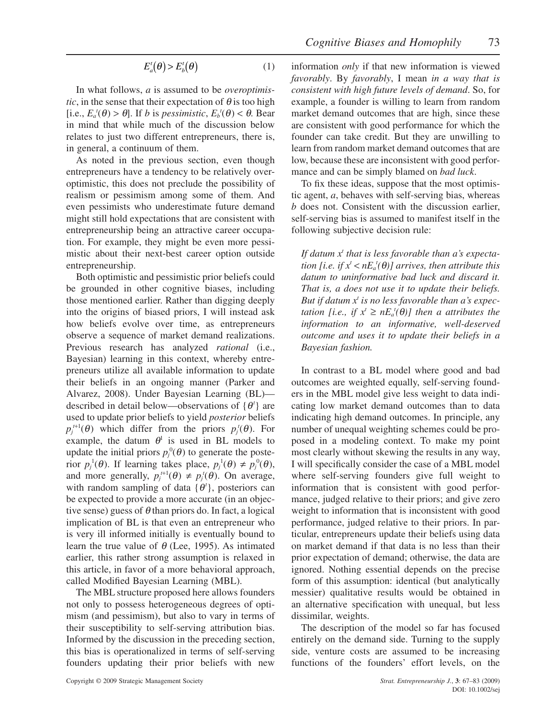$$
E_a^t(\theta) > E_b^t(\theta) \tag{1}
$$

In what follows, *a* is assumed to be *overoptimistic*, in the sense that their expectation of  $\theta$  is too high  $[i.e., E_a^t(\theta) > \theta].$  If *b* is *pessimistic*,  $E_b^t(\theta) < \theta$ . Bear in mind that while much of the discussion below relates to just two different entrepreneurs, there is, in general, a continuum of them.

As noted in the previous section, even though entrepreneurs have a tendency to be relatively overoptimistic, this does not preclude the possibility of realism or pessimism among some of them. And even pessimists who underestimate future demand might still hold expectations that are consistent with entrepreneurship being an attractive career occupation. For example, they might be even more pessimistic about their next-best career option outside entrepreneurship.

Both optimistic and pessimistic prior beliefs could be grounded in other cognitive biases, including those mentioned earlier. Rather than digging deeply into the origins of biased priors, I will instead ask how beliefs evolve over time, as entrepreneurs observe a sequence of market demand realizations. Previous research has analyzed *rational* (i.e., Bayesian) learning in this context, whereby entrepreneurs utilize all available information to update their beliefs in an ongoing manner (Parker and Alvarez, 2008). Under Bayesian Learning (BL) described in detail below—observations of  $\{\theta^t\}$  are used to update prior beliefs to yield *posterior* beliefs  $p_j^{t+1}(\theta)$  which differ from the priors  $p_j^{t}(\theta)$ . For example, the datum  $\theta^1$  is used in BL models to update the initial priors  $p_j^0(\theta)$  to generate the posterior  $p_j^1(\theta)$ . If learning takes place,  $p_j^1(\theta) \neq p_j^0(\theta)$ , and more generally,  $p_j^{t+1}(\theta) \neq p_j^{t}(\theta)$ . On average, with random sampling of data  $\{\theta^t\}$ , posteriors can be expected to provide a more accurate (in an objective sense) guess of  $\theta$  than priors do. In fact, a logical implication of BL is that even an entrepreneur who is very ill informed initially is eventually bound to learn the true value of  $\theta$  (Lee, 1995). As intimated earlier, this rather strong assumption is relaxed in this article, in favor of a more behavioral approach, called Modified Bayesian Learning (MBL).

The MBL structure proposed here allows founders not only to possess heterogeneous degrees of optimism (and pessimism), but also to vary in terms of their susceptibility to self-serving attribution bias. Informed by the discussion in the preceding section, this bias is operationalized in terms of self-serving founders updating their prior beliefs with new

information *only* if that new information is viewed *favorably*. By *favorably*, I mean *in a way that is consistent with high future levels of demand*. So, for example, a founder is willing to learn from random market demand outcomes that are high, since these are consistent with good performance for which the founder can take credit. But they are unwilling to learn from random market demand outcomes that are low, because these are inconsistent with good performance and can be simply blamed on *bad luck*.

To fix these ideas, suppose that the most optimistic agent, *a*, behaves with self-serving bias, whereas *b* does not. Consistent with the discussion earlier, self-serving bias is assumed to manifest itself in the following subjective decision rule:

*If datum xt that is less favorable than a's expectation [i.e. if*  $x<sup>t</sup> < nE_a^t(\theta)$ ] arrives, then attribute this *datum to uninformative bad luck and discard it. That is, a does not use it to update their beliefs. But if datum xt is no less favorable than a's expectation [i.e., if*  $x^t \ge nE_a^{\{t\}}(\theta)$ ] then a attributes the *information to an informative, well-deserved outcome and uses it to update their beliefs in a Bayesian fashion.*

In contrast to a BL model where good and bad outcomes are weighted equally, self-serving founders in the MBL model give less weight to data indicating low market demand outcomes than to data indicating high demand outcomes. In principle, any number of unequal weighting schemes could be proposed in a modeling context. To make my point most clearly without skewing the results in any way, I will specifically consider the case of a MBL model where self-serving founders give full weight to information that is consistent with good performance, judged relative to their priors; and give zero weight to information that is inconsistent with good performance, judged relative to their priors. In particular, entrepreneurs update their beliefs using data on market demand if that data is no less than their prior expectation of demand; otherwise, the data are ignored. Nothing essential depends on the precise form of this assumption: identical (but analytically messier) qualitative results would be obtained in an alternative specification with unequal, but less dissimilar, weights.

The description of the model so far has focused entirely on the demand side. Turning to the supply side, venture costs are assumed to be increasing functions of the founders' effort levels, on the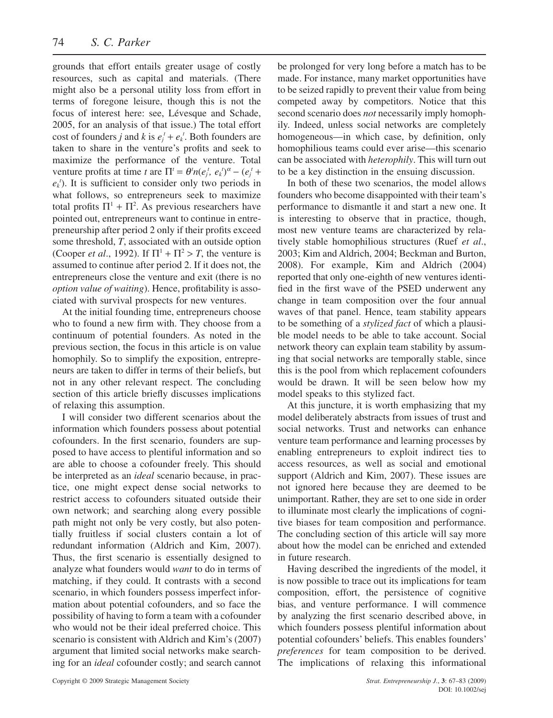grounds that effort entails greater usage of costly resources, such as capital and materials. (There might also be a personal utility loss from effort in terms of foregone leisure, though this is not the focus of interest here: see, Lévesque and Schade, 2005, for an analysis of that issue.) The total effort cost of founders *j* and *k* is  $e_j^t + e_k^t$ . Both founders are taken to share in the venture's profits and seek to maximize the performance of the venture. Total venture profits at time *t* are  $\Pi^t = \theta^t n (e_j^t, e_k^t)^\alpha - (e_j^t +$  $e_k$ <sup>t</sup>). It is sufficient to consider only two periods in what follows, so entrepreneurs seek to maximize total profits  $\Pi^1 + \Pi^2$ . As previous researchers have pointed out, entrepreneurs want to continue in entrepreneurship after period 2 only if their profits exceed some threshold, *T*, associated with an outside option (Cooper *et al.*, 1992). If  $\Pi^1 + \Pi^2 > T$ , the venture is assumed to continue after period 2. If it does not, the entrepreneurs close the venture and exit (there is no *option value of waiting*). Hence, profitability is associated with survival prospects for new ventures.

At the initial founding time, entrepreneurs choose who to found a new firm with. They choose from a continuum of potential founders. As noted in the previous section, the focus in this article is on value homophily. So to simplify the exposition, entrepreneurs are taken to differ in terms of their beliefs, but not in any other relevant respect. The concluding section of this article briefly discusses implications of relaxing this assumption.

I will consider two different scenarios about the information which founders possess about potential cofounders. In the first scenario, founders are supposed to have access to plentiful information and so are able to choose a cofounder freely. This should be interpreted as an *ideal* scenario because, in practice, one might expect dense social networks to restrict access to cofounders situated outside their own network; and searching along every possible path might not only be very costly, but also potentially fruitless if social clusters contain a lot of redundant information (Aldrich and Kim, 2007). Thus, the first scenario is essentially designed to analyze what founders would *want* to do in terms of matching, if they could. It contrasts with a second scenario, in which founders possess imperfect information about potential cofounders, and so face the possibility of having to form a team with a cofounder who would not be their ideal preferred choice. This scenario is consistent with Aldrich and Kim's (2007) argument that limited social networks make searching for an *ideal* cofounder costly; and search cannot

be prolonged for very long before a match has to be made. For instance, many market opportunities have to be seized rapidly to prevent their value from being competed away by competitors. Notice that this second scenario does *not* necessarily imply homophily. Indeed, unless social networks are completely homogeneous—in which case, by definition, only homophilious teams could ever arise—this scenario can be associated with *heterophily*. This will turn out to be a key distinction in the ensuing discussion.

In both of these two scenarios, the model allows founders who become disappointed with their team's performance to dismantle it and start a new one. It is interesting to observe that in practice, though, most new venture teams are characterized by relatively stable homophilious structures (Ruef *et al*., 2003; Kim and Aldrich, 2004; Beckman and Burton, 2008). For example, Kim and Aldrich (2004) reported that only one-eighth of new ventures identified in the first wave of the PSED underwent any change in team composition over the four annual waves of that panel. Hence, team stability appears to be something of a *stylized fact* of which a plausible model needs to be able to take account. Social network theory can explain team stability by assuming that social networks are temporally stable, since this is the pool from which replacement cofounders would be drawn. It will be seen below how my model speaks to this stylized fact.

At this juncture, it is worth emphasizing that my model deliberately abstracts from issues of trust and social networks. Trust and networks can enhance venture team performance and learning processes by enabling entrepreneurs to exploit indirect ties to access resources, as well as social and emotional support (Aldrich and Kim, 2007). These issues are not ignored here because they are deemed to be unimportant. Rather, they are set to one side in order to illuminate most clearly the implications of cognitive biases for team composition and performance. The concluding section of this article will say more about how the model can be enriched and extended in future research.

Having described the ingredients of the model, it is now possible to trace out its implications for team composition, effort, the persistence of cognitive bias, and venture performance. I will commence by analyzing the first scenario described above, in which founders possess plentiful information about potential cofounders' beliefs. This enables founders' *preferences* for team composition to be derived. The implications of relaxing this informational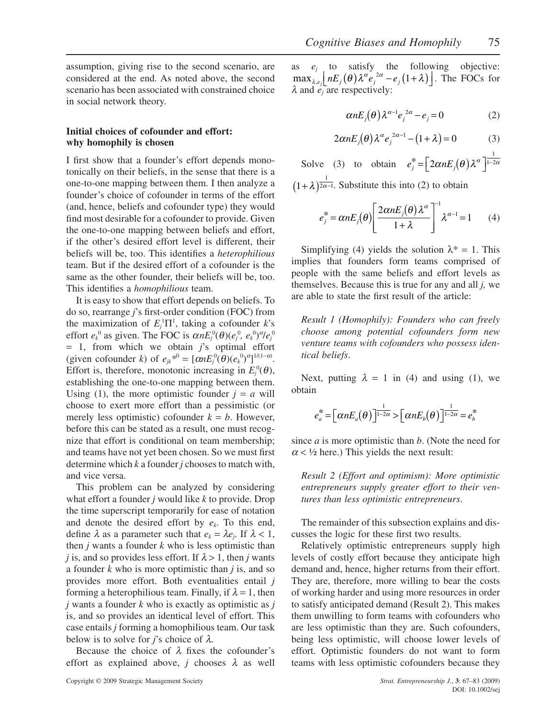assumption, giving rise to the second scenario, are considered at the end. As noted above, the second scenario has been associated with constrained choice in social network theory.

#### **Initial choices of cofounder and effort: why homophily is chosen**

I first show that a founder's effort depends monotonically on their beliefs, in the sense that there is a one-to-one mapping between them. I then analyze a founder's choice of cofounder in terms of the effort (and, hence, beliefs and cofounder type) they would find most desirable for a cofounder to provide. Given the one-to-one mapping between beliefs and effort, if the other's desired effort level is different, their beliefs will be, too. This identifies a *heterophilious* team. But if the desired effort of a cofounder is the same as the other founder, their beliefs will be, too. This identifies a *homophilious* team.

It is easy to show that effort depends on beliefs. To do so, rearrange *j*'s first-order condition (FOC) from the maximization of  $E_j^1 \Pi^1$ , taking a cofounder *k*'s effort  $e_k^0$  as given. The FOC is  $\alpha n E_j^0(\theta)(e_j^0, e_k^0)^\alpha/e_j^\alpha$ = 1, from which we obtain *j*'s optimal effort (given cofounder *k*) of  $e_{jk}^{*0} = [\alpha n E_j^0(\theta)(e_k^0)^\alpha]^{1/(1-\alpha)}$ . Effort is, therefore, monotonic increasing in  $E_j^0(\theta)$ , establishing the one-to-one mapping between them. Using (1), the more optimistic founder  $j = a$  will choose to exert more effort than a pessimistic (or merely less optimistic) cofounder  $k = b$ . However, before this can be stated as a result, one must recognize that effort is conditional on team membership; and teams have not yet been chosen. So we must first determine which *k* a founder *j* chooses to match with, and vice versa.

This problem can be analyzed by considering what effort a founder *j* would like *k* to provide. Drop the time superscript temporarily for ease of notation and denote the desired effort by *ek*. To this end, define  $\lambda$  as a parameter such that  $e_k = \lambda e_i$ . If  $\lambda < 1$ , then *j* wants a founder *k* who is less optimistic than *j* is, and so provides less effort. If  $\lambda > 1$ , then *j* wants a founder *k* who is more optimistic than *j* is, and so provides more effort. Both eventualities entail *j*  forming a heterophilious team. Finally, if  $\lambda = 1$ , then *j* wants a founder *k* who is exactly as optimistic as *j*  is, and so provides an identical level of effort. This case entails *j* forming a homophilious team. Our task below is to solve for *j*'s choice of  $\lambda$ .

Because the choice of  $\lambda$  fixes the cofounder's effort as explained above,  $j$  chooses  $\lambda$  as well

as  $e_i$  to satisfy the following objective:  $\max_{\lambda,e_j} \left[ nE_j(\theta) \lambda^{\alpha} e_j^{2\alpha} - e_j(1+\lambda) \right]$ . The FOCs for  $\lambda$  and  $e_i$  are respectively:

$$
\alpha n E_j(\theta) \lambda^{\alpha - 1} e_j^{2\alpha} - e_j = 0 \tag{2}
$$

$$
2\alpha n E_j(\theta) \lambda^{\alpha} e_j^{2\alpha-1} - (1+\lambda) = 0 \tag{3}
$$

Solve (3) to obtain  $e_j^* = \left[2\alpha n E_j(\theta)\lambda^{\alpha}\right]^{-1}$ 1  $\alpha nE\left(\theta\right)\lambda^{\alpha}$  |1-2 $\alpha$  $(1+\lambda)^{\frac{1}{2\alpha-1}}$ . Substitute this into (2) to obtain

$$
e_j^* = \alpha n E_j(\theta) \left[ \frac{2\alpha n E_j(\theta) \lambda^{\alpha}}{1 + \lambda} \right]^{-1} \lambda^{\alpha - 1} = 1 \qquad (4)
$$

Simplifying (4) yields the solution  $\lambda^* = 1$ . This implies that founders form teams comprised of people with the same beliefs and effort levels as themselves. Because this is true for any and all *j,* we are able to state the first result of the article:

*Result 1 (Homophily): Founders who can freely choose among potential cofounders form new venture teams with cofounders who possess identical beliefs*.

Next, putting  $\lambda = 1$  in (4) and using (1), we obtain

$$
e_a^* = \left[\alpha n E_a(\theta)\right]^{\frac{1}{1-2\alpha}} \sum \left[\alpha n E_b(\theta)\right]^{\frac{1}{1-2\alpha}} = e_b^*
$$

since *a* is more optimistic than *b*. (Note the need for  $\alpha$  < ½ here.) This yields the next result:

*Result 2 (Effort and optimism): More optimistic entrepreneurs supply greater effort to their ventures than less optimistic entrepreneurs*.

The remainder of this subsection explains and discusses the logic for these first two results.

Relatively optimistic entrepreneurs supply high levels of costly effort because they anticipate high demand and, hence, higher returns from their effort. They are, therefore, more willing to bear the costs of working harder and using more resources in order to satisfy anticipated demand (Result 2). This makes them unwilling to form teams with cofounders who are less optimistic than they are. Such cofounders, being less optimistic, will choose lower levels of effort. Optimistic founders do not want to form teams with less optimistic cofounders because they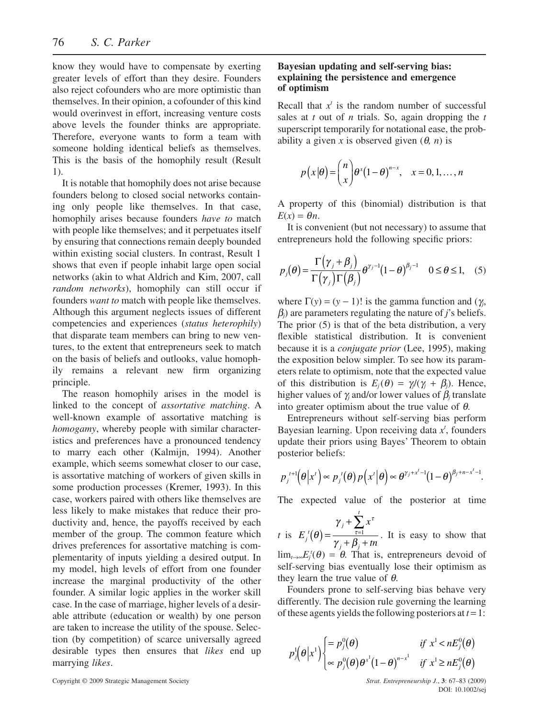know they would have to compensate by exerting greater levels of effort than they desire. Founders also reject cofounders who are more optimistic than themselves. In their opinion, a cofounder of this kind would overinvest in effort, increasing venture costs above levels the founder thinks are appropriate. Therefore, everyone wants to form a team with someone holding identical beliefs as themselves. This is the basis of the homophily result (Result 1).

It is notable that homophily does not arise because founders belong to closed social networks containing only people like themselves. In that case, homophily arises because founders *have to* match with people like themselves; and it perpetuates itself by ensuring that connections remain deeply bounded within existing social clusters. In contrast, Result 1 shows that even if people inhabit large open social networks (akin to what Aldrich and Kim, 2007, call *random networks*), homophily can still occur if founders *want to* match with people like themselves. Although this argument neglects issues of different competencies and experiences (*status heterophily*) that disparate team members can bring to new ventures, to the extent that entrepreneurs seek to match on the basis of beliefs and outlooks, value homophily remains a relevant new firm organizing principle.

The reason homophily arises in the model is linked to the concept of *assortative matching*. A well-known example of assortative matching is *homogamy*, whereby people with similar characteristics and preferences have a pronounced tendency to marry each other (Kalmijn, 1994). Another example, which seems somewhat closer to our case, is assortative matching of workers of given skills in some production processes (Kremer, 1993). In this case, workers paired with others like themselves are less likely to make mistakes that reduce their productivity and, hence, the payoffs received by each member of the group. The common feature which drives preferences for assortative matching is complementarity of inputs yielding a desired output. In my model, high levels of effort from one founder increase the marginal productivity of the other founder. A similar logic applies in the worker skill case. In the case of marriage, higher levels of a desirable attribute (education or wealth) by one person are taken to increase the utility of the spouse. Selection (by competition) of scarce universally agreed desirable types then ensures that *likes* end up marrying *likes*.

#### **Bayesian updating and self-serving bias: explaining the persistence and emergence of optimism**

Recall that  $x<sup>t</sup>$  is the random number of successful sales at *t* out of *n* trials. So, again dropping the *t*  superscript temporarily for notational ease, the probability a given x is observed given  $(\theta, n)$  is

$$
p(x|\theta) = {n \choose x} \theta^x (1-\theta)^{n-x}, \quad x = 0, 1, ..., n
$$

A property of this (binomial) distribution is that  $E(x) = \theta n$ .

It is convenient (but not necessary) to assume that entrepreneurs hold the following specific priors:

$$
p_j(\theta) = \frac{\Gamma(\gamma_j + \beta_j)}{\Gamma(\gamma_j)\Gamma(\beta_j)} \theta^{\gamma_j - 1} (1 - \theta)^{\beta_j - 1} \quad 0 \le \theta \le 1, \quad (5)
$$

where  $\Gamma(y) = (y - 1)!$  is the gamma function and  $(\gamma_i)$ ,  $\beta$ <sub>*j*</sub>) are parameters regulating the nature of *j*'s beliefs. The prior (5) is that of the beta distribution, a very flexible statistical distribution. It is convenient because it is a *conjugate prior* (Lee, 1995), making the exposition below simpler. To see how its parameters relate to optimism, note that the expected value of this distribution is  $E_i(\theta) = \gamma / (\gamma_i + \beta_i)$ . Hence, higher values of  $\gamma$  and/or lower values of  $\beta$  translate into greater optimism about the true value of  $\theta$ .

Entrepreneurs without self-serving bias perform Bayesian learning. Upon receiving data  $x^t$ , founders update their priors using Bayes' Theorem to obtain posterior beliefs:

$$
p_j^{t+1}(\theta|x^t) \propto p_j(\theta) p(x^t | \theta) \propto \theta^{\gamma_j + x^t - 1} (1 - \theta)^{\beta_j + n - x^t - 1}.
$$

The expected value of the posterior at time

*t* is *E x*  $f(\theta) = \frac{f_j + \sum_{\tau=1}^{\infty} \mu_{\tau}}{\gamma_i + \beta_i + tn}$ *t j j* θ γ  $\gamma_i + \beta$ τ  $(\theta) = \frac{\tau}{\sqrt{2}}$ +  $+ \beta$ , +  $\sum_{\tau=1}$  $\frac{1}{1}$ . It is easy to show that lim<sub>t→∞</sub> $E_j^t(\theta) = \theta$ . That is, entrepreneurs devoid of self-serving bias eventually lose their optimism as they learn the true value of  $\theta$ .

Founders prone to self-serving bias behave very differently. The decision rule governing the learning of these agents yields the following posteriors at *t* = 1:

$$
p_j^1(\theta|x^1)\begin{cases} = p_j^0(\theta) & \text{if } x^1 < nE_j^0(\theta) \\ \propto p_j^0(\theta)\theta^{x^1}(1-\theta)^{n-x^1} & \text{if } x^1 \geq nE_j^0(\theta) \end{cases}
$$

Copyright © 2009 Strategic Management Society *Strat. Entrepreneurship J.*, **3**: 67–83 (2009)

DOI: 10.1002/sej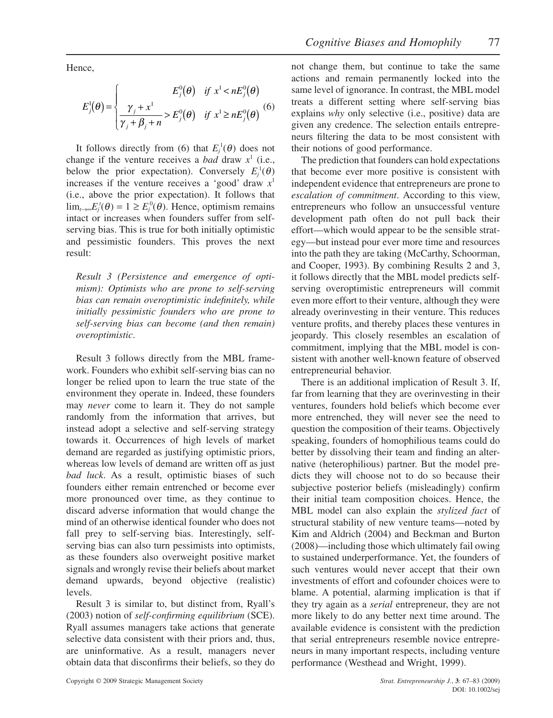Hence,

$$
E_j^1(\theta) = \begin{cases} E_j^0(\theta) & \text{if } x^1 < nE_j^0(\theta) \\ \frac{\gamma_j + x^1}{\gamma_j + \beta_j + n} > E_j^0(\theta) & \text{if } x^1 \ge nE_j^0(\theta) \end{cases} (6)
$$

It follows directly from (6) that  $E_j^1(\theta)$  does not change if the venture receives a *bad* draw  $x^1$  (i.e., below the prior expectation). Conversely  $E_j^1(\theta)$ increases if the venture receives a 'good' draw  $x<sup>1</sup>$ (i.e., above the prior expectation). It follows that lim<sub>*t→∞</sub>E<sub>j</sub>*<sup>*t*</sup>( $\theta$ ) = 1 ≥ *E<sub>j</sub>*<sup>0</sup>( $\theta$ ). Hence, optimism remains</sub> intact or increases when founders suffer from selfserving bias. This is true for both initially optimistic and pessimistic founders. This proves the next result:

*Result 3 (Persistence and emergence of optimism): Optimists who are prone to self-serving*  bias can remain overoptimistic indefinitely, while *initially pessimistic founders who are prone to self-serving bias can become (and then remain) overoptimistic*.

Result 3 follows directly from the MBL framework. Founders who exhibit self-serving bias can no longer be relied upon to learn the true state of the environment they operate in. Indeed, these founders may *never* come to learn it. They do not sample randomly from the information that arrives, but instead adopt a selective and self-serving strategy towards it. Occurrences of high levels of market demand are regarded as justifying optimistic priors, whereas low levels of demand are written off as just *bad luck*. As a result, optimistic biases of such founders either remain entrenched or become ever more pronounced over time, as they continue to discard adverse information that would change the mind of an otherwise identical founder who does not fall prey to self-serving bias. Interestingly, selfserving bias can also turn pessimists into optimists, as these founders also overweight positive market signals and wrongly revise their beliefs about market demand upwards, beyond objective (realistic) levels.

Result 3 is similar to, but distinct from, Ryall's (2003) notion of *self-confirming equilibrium* (SCE). Ryall assumes managers take actions that generate selective data consistent with their priors and, thus, are uninformative. As a result, managers never obtain data that disconfirms their beliefs, so they do

not change them, but continue to take the same actions and remain permanently locked into the same level of ignorance. In contrast, the MBL model treats a different setting where self-serving bias explains *why* only selective (i.e., positive) data are given any credence. The selection entails entrepreneurs filtering the data to be most consistent with their notions of good performance.

The prediction that founders can hold expectations that become ever more positive is consistent with independent evidence that entrepreneurs are prone to *escalation of commitment*. According to this view, entrepreneurs who follow an unsuccessful venture development path often do not pull back their effort—which would appear to be the sensible strategy—but instead pour ever more time and resources into the path they are taking (McCarthy, Schoorman, and Cooper, 1993). By combining Results 2 and 3, it follows directly that the MBL model predicts selfserving overoptimistic entrepreneurs will commit even more effort to their venture, although they were already overinvesting in their venture. This reduces venture profits, and thereby places these ventures in jeopardy. This closely resembles an escalation of commitment, implying that the MBL model is consistent with another well-known feature of observed entrepreneurial behavior.

There is an additional implication of Result 3. If, far from learning that they are overinvesting in their ventures, founders hold beliefs which become ever more entrenched, they will never see the need to question the composition of their teams. Objectively speaking, founders of homophilious teams could do better by dissolving their team and finding an alternative (heterophilious) partner. But the model predicts they will choose not to do so because their subjective posterior beliefs (misleadingly) confirm their initial team composition choices. Hence, the MBL model can also explain the *stylized fact* of structural stability of new venture teams—noted by Kim and Aldrich (2004) and Beckman and Burton (2008)—including those which ultimately fail owing to sustained underperformance. Yet, the founders of such ventures would never accept that their own investments of effort and cofounder choices were to blame. A potential, alarming implication is that if they try again as a *serial* entrepreneur, they are not more likely to do any better next time around. The available evidence is consistent with the prediction that serial entrepreneurs resemble novice entrepreneurs in many important respects, including venture performance (Westhead and Wright, 1999).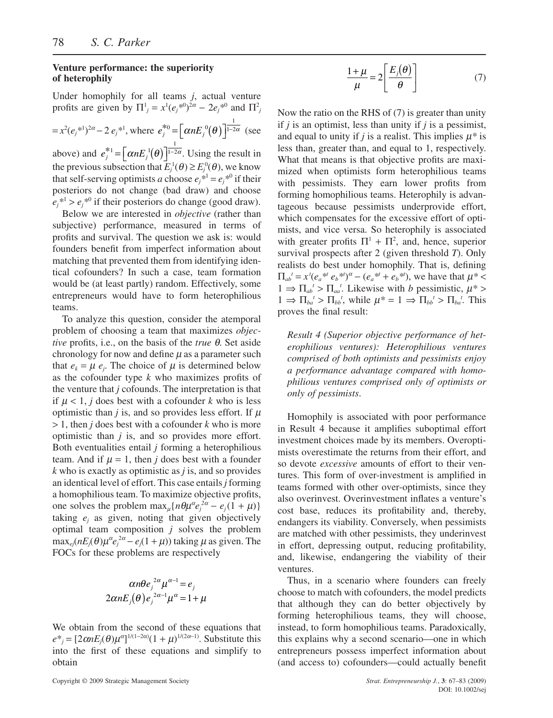#### **Venture performance: the superiority of heterophily**

Under homophily for all teams *j*, actual venture profits are given by  $\Pi^1_j = x^1 (e^{i\pi/2})^{2\alpha} - 2e^{i\pi/2}$  and  $\Pi^2_j$  $= x^2 (e_j^{*1})^{2\alpha} - 2 e_j^{*1}$ , where  $e_j^{*0} = \left[ \alpha n E_j^{0} (\theta) \right]^{1 \over 1 - 2\alpha}$  (see above) and  $e_j^{*1} = \left[ \alpha n E_j^{\dagger}(\theta) \right]^{1 \over 1 - 2\alpha}$ . Using the result in the previous subsection that  $E_j^1(\theta) \ge E_j^0(\theta)$ , we know that self-serving optimists *a* choose  $e_i^{*1} = e_i^{*0}$  if their posteriors do not change (bad draw) and choose  $e_i^{*1} > e_i^{*0}$  if their posteriors do change (good draw).

Below we are interested in *objective* (rather than subjective) performance, measured in terms of profits and survival. The question we ask is: would founders benefit from imperfect information about matching that prevented them from identifying identical cofounders? In such a case, team formation would be (at least partly) random. Effectively, some entrepreneurs would have to form heterophilious teams.

To analyze this question, consider the atemporal problem of choosing a team that maximizes *objective* profits, i.e., on the basis of the *true*  $\theta$ . Set aside chronology for now and define  $\mu$  as a parameter such that  $e_k = \mu e_j$ . The choice of  $\mu$  is determined below as the cofounder type *k* who maximizes profits of the venture that *j* cofounds. The interpretation is that if  $\mu$  < 1, *j* does best with a cofounder *k* who is less optimistic than  $j$  is, and so provides less effort. If  $\mu$ > 1, then *j* does best with a cofounder *k* who is more optimistic than *j* is, and so provides more effort. Both eventualities entail *j* forming a heterophilious team. And if  $\mu = 1$ , then *j* does best with a founder *k* who is exactly as optimistic as *j* is, and so provides an identical level of effort. This case entails *j* forming a homophilious team. To maximize objective profits, one solves the problem  $\max_{\mu} \{ n \theta \mu^{\alpha} e_j^{2\alpha} - e_j (1 + \mu) \}$ taking *ej* as given, noting that given objectively optimal team composition *j* solves the problem  $\max_{e_j}(nE_j(\theta))\mu^{\alpha}e_j^{2\alpha} - e_j(1+\mu)$  taking  $\mu$  as given. The FOCs for these problems are respectively

$$
\alpha n \theta e_j^{2\alpha} \mu^{\alpha-1} = e_j
$$
  
2
$$
2\alpha n E_j(\theta) e_j^{2\alpha-1} \mu^{\alpha} = 1 + \mu
$$

We obtain from the second of these equations that  $e^*$ <sub>*j*</sub> =  $[2 \alpha n E_j(\theta) \mu^{\alpha}]^{1/(1-2\alpha)} (1 + \mu)^{1/(2\alpha-1)}$ . Substitute this into the first of these equations and simplify to obtain

$$
\frac{1+\mu}{\mu} = 2 \left[ \frac{E_j(\theta)}{\theta} \right] \tag{7}
$$

Now the ratio on the RHS of (7) is greater than unity if *j* is an optimist, less than unity if *j* is a pessimist, and equal to unity if *j* is a realist. This implies  $\mu^*$  is less than, greater than, and equal to 1, respectively. What that means is that objective profits are maximized when optimists form heterophilious teams with pessimists. They earn lower profits from forming homophilious teams. Heterophily is advantageous because pessimists underprovide effort, which compensates for the excessive effort of optimists, and vice versa. So heterophily is associated with greater profits  $\Pi^1 + \Pi^2$ , and, hence, superior survival prospects after 2 (given threshold *T*). Only realists do best under homophily. That is, defining  $\Pi_{ab}^t = x^t (e_a^{*t} e_b^{*t})^\alpha - (e_a^{*t} + e_b^{*t})$ , we have that  $\mu^*$  $1 \Rightarrow \prod_{ab} t > \prod_{aa} t$ . Likewise with *b* pessimistic,  $\mu^*$  $1 \Rightarrow \prod_{ba} t > \prod_{bb} t$ , while  $\mu^* = 1 \Rightarrow \prod_{bb} t > \prod_{ba} t$ . This proves the final result:

*Result 4 (Superior objective performance of heterophilious ventures): Heterophilious ventures comprised of both optimists and pessimists enjoy a performance advantage compared with homophilious ventures comprised only of optimists or only of pessimists*.

Homophily is associated with poor performance in Result 4 because it amplifies suboptimal effort investment choices made by its members. Overoptimists overestimate the returns from their effort, and so devote *excessive* amounts of effort to their ventures. This form of over-investment is amplified in teams formed with other over-optimists, since they also overinvest. Overinvestment inflates a venture's cost base, reduces its profitability and, thereby, endangers its viability. Conversely, when pessimists are matched with other pessimists, they underinvest in effort, depressing output, reducing profitability, and, likewise, endangering the viability of their ventures.

Thus, in a scenario where founders can freely choose to match with cofounders, the model predicts that although they can do better objectively by forming heterophilious teams, they will choose, instead, to form homophilious teams. Paradoxically, this explains why a second scenario—one in which entrepreneurs possess imperfect information about (and access to) cofounders—could actually benefit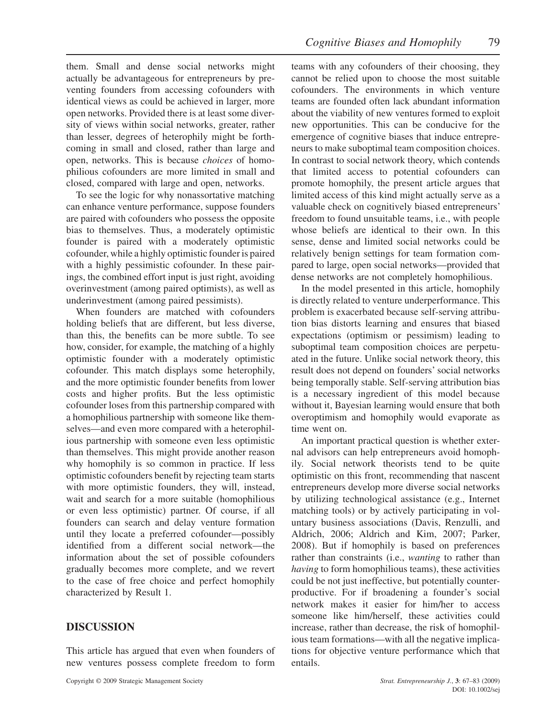them. Small and dense social networks might actually be advantageous for entrepreneurs by preventing founders from accessing cofounders with identical views as could be achieved in larger, more open networks. Provided there is at least some diversity of views within social networks, greater, rather than lesser, degrees of heterophily might be forthcoming in small and closed, rather than large and open, networks. This is because *choices* of homophilious cofounders are more limited in small and closed, compared with large and open, networks.

To see the logic for why nonassortative matching can enhance venture performance, suppose founders are paired with cofounders who possess the opposite bias to themselves. Thus, a moderately optimistic founder is paired with a moderately optimistic cofounder, while a highly optimistic founder is paired with a highly pessimistic cofounder. In these pairings, the combined effort input is just right, avoiding overinvestment (among paired optimists), as well as underinvestment (among paired pessimists).

When founders are matched with cofounders holding beliefs that are different, but less diverse, than this, the benefits can be more subtle. To see how, consider, for example, the matching of a highly optimistic founder with a moderately optimistic cofounder. This match displays some heterophily, and the more optimistic founder benefits from lower costs and higher profits. But the less optimistic cofounder loses from this partnership compared with a homophilious partnership with someone like themselves—and even more compared with a heterophilious partnership with someone even less optimistic than themselves. This might provide another reason why homophily is so common in practice. If less optimistic cofounders benefit by rejecting team starts with more optimistic founders, they will, instead, wait and search for a more suitable (homophilious or even less optimistic) partner. Of course, if all founders can search and delay venture formation until they locate a preferred cofounder—possibly identified from a different social network—the information about the set of possible cofounders gradually becomes more complete, and we revert to the case of free choice and perfect homophily characterized by Result 1.

## **DISCUSSION**

This article has argued that even when founders of new ventures possess complete freedom to form

teams with any cofounders of their choosing, they cannot be relied upon to choose the most suitable cofounders. The environments in which venture teams are founded often lack abundant information about the viability of new ventures formed to exploit new opportunities. This can be conducive for the emergence of cognitive biases that induce entrepreneurs to make suboptimal team composition choices. In contrast to social network theory, which contends that limited access to potential cofounders can promote homophily, the present article argues that limited access of this kind might actually serve as a valuable check on cognitively biased entrepreneurs' freedom to found unsuitable teams, i.e., with people whose beliefs are identical to their own. In this sense, dense and limited social networks could be relatively benign settings for team formation compared to large, open social networks—provided that dense networks are not completely homophilious.

In the model presented in this article, homophily is directly related to venture underperformance. This problem is exacerbated because self-serving attribution bias distorts learning and ensures that biased expectations (optimism or pessimism) leading to suboptimal team composition choices are perpetuated in the future. Unlike social network theory, this result does not depend on founders' social networks being temporally stable. Self-serving attribution bias is a necessary ingredient of this model because without it, Bayesian learning would ensure that both overoptimism and homophily would evaporate as time went on.

An important practical question is whether external advisors can help entrepreneurs avoid homophily. Social network theorists tend to be quite optimistic on this front, recommending that nascent entrepreneurs develop more diverse social networks by utilizing technological assistance (e.g., Internet matching tools) or by actively participating in voluntary business associations (Davis, Renzulli, and Aldrich, 2006; Aldrich and Kim, 2007; Parker, 2008). But if homophily is based on preferences rather than constraints (i.e., *wanting* to rather than *having* to form homophilious teams), these activities could be not just ineffective, but potentially counterproductive. For if broadening a founder's social network makes it easier for him/her to access someone like him/herself, these activities could increase, rather than decrease, the risk of homophilious team formations—with all the negative implications for objective venture performance which that entails.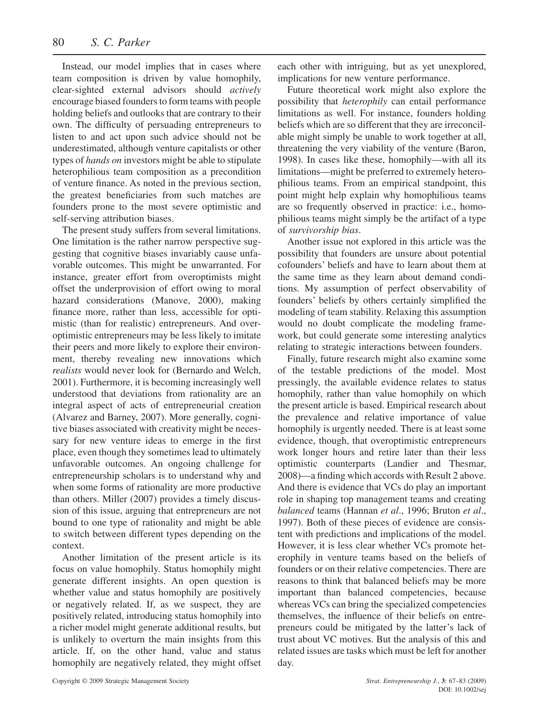Instead, our model implies that in cases where team composition is driven by value homophily, clear-sighted external advisors should *actively* encourage biased founders to form teams with people holding beliefs and outlooks that are contrary to their own. The difficulty of persuading entrepreneurs to listen to and act upon such advice should not be underestimated, although venture capitalists or other types of *hands on* investors might be able to stipulate heterophilious team composition as a precondition of venture finance. As noted in the previous section, the greatest beneficiaries from such matches are founders prone to the most severe optimistic and self-serving attribution biases.

The present study suffers from several limitations. One limitation is the rather narrow perspective suggesting that cognitive biases invariably cause unfavorable outcomes. This might be unwarranted. For instance, greater effort from overoptimists might offset the underprovision of effort owing to moral hazard considerations (Manove, 2000), making finance more, rather than less, accessible for optimistic (than for realistic) entrepreneurs. And overoptimistic entrepreneurs may be less likely to imitate their peers and more likely to explore their environment, thereby revealing new innovations which *realists* would never look for (Bernardo and Welch, 2001). Furthermore, it is becoming increasingly well understood that deviations from rationality are an integral aspect of acts of entrepreneurial creation (Alvarez and Barney, 2007). More generally, cognitive biases associated with creativity might be necessary for new venture ideas to emerge in the first place, even though they sometimes lead to ultimately unfavorable outcomes. An ongoing challenge for entrepreneurship scholars is to understand why and when some forms of rationality are more productive than others. Miller (2007) provides a timely discussion of this issue, arguing that entrepreneurs are not bound to one type of rationality and might be able to switch between different types depending on the context.

Another limitation of the present article is its focus on value homophily. Status homophily might generate different insights. An open question is whether value and status homophily are positively or negatively related. If, as we suspect, they are positively related, introducing status homophily into a richer model might generate additional results, but is unlikely to overturn the main insights from this article. If, on the other hand, value and status homophily are negatively related, they might offset

each other with intriguing, but as yet unexplored, implications for new venture performance.

Future theoretical work might also explore the possibility that *heterophily* can entail performance limitations as well. For instance, founders holding beliefs which are so different that they are irreconcilable might simply be unable to work together at all, threatening the very viability of the venture (Baron, 1998). In cases like these, homophily—with all its limitations—might be preferred to extremely heterophilious teams. From an empirical standpoint, this point might help explain why homophilious teams are so frequently observed in practice: i.e., homophilious teams might simply be the artifact of a type of *survivorship bias*.

Another issue not explored in this article was the possibility that founders are unsure about potential cofounders' beliefs and have to learn about them at the same time as they learn about demand conditions. My assumption of perfect observability of founders' beliefs by others certainly simplified the modeling of team stability. Relaxing this assumption would no doubt complicate the modeling framework, but could generate some interesting analytics relating to strategic interactions between founders.

Finally, future research might also examine some of the testable predictions of the model. Most pressingly, the available evidence relates to status homophily, rather than value homophily on which the present article is based. Empirical research about the prevalence and relative importance of value homophily is urgently needed. There is at least some evidence, though, that overoptimistic entrepreneurs work longer hours and retire later than their less optimistic counterparts (Landier and Thesmar, 2008)—a finding which accords with Result 2 above. And there is evidence that VCs do play an important role in shaping top management teams and creating *balanced* teams (Hannan *et al*., 1996; Bruton *et al*., 1997). Both of these pieces of evidence are consistent with predictions and implications of the model. However, it is less clear whether VCs promote heterophily in venture teams based on the beliefs of founders or on their relative competencies. There are reasons to think that balanced beliefs may be more important than balanced competencies, because whereas VCs can bring the specialized competencies themselves, the influence of their beliefs on entrepreneurs could be mitigated by the latter's lack of trust about VC motives. But the analysis of this and related issues are tasks which must be left for another day.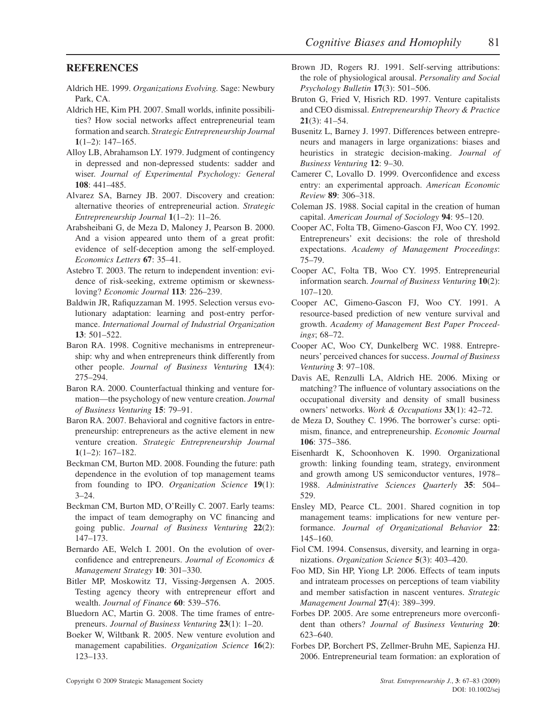## **REFERENCES**

- Aldrich HE. 1999. *Organizations Evolving.* Sage: Newbury Park, CA.
- Aldrich HE, Kim PH. 2007. Small worlds, infinite possibilities? How social networks affect entrepreneurial team formation and search. *Strategic Entrepreneurship Journal* **1**(1–2): 147–165.
- Alloy LB, Abrahamson LY. 1979. Judgment of contingency in depressed and non-depressed students: sadder and wiser. *Journal of Experimental Psychology: General* **108**: 441–485.
- Alvarez SA, Barney JB. 2007. Discovery and creation: alternative theories of entrepreneurial action. *Strategic Entrepreneurship Journal* **1**(1–2): 11–26.
- Arabsheibani G, de Meza D, Maloney J, Pearson B. 2000. And a vision appeared unto them of a great profit: evidence of self-deception among the self-employed. *Economics Letters* **67**: 35–41.
- Astebro T. 2003. The return to independent invention: evidence of risk-seeking, extreme optimism or skewnessloving? *Economic Journal* **113**: 226–239.
- Baldwin JR, Rafiquzzaman M. 1995. Selection versus evolutionary adaptation: learning and post-entry performance. *International Journal of Industrial Organization*  **13**: 501–522.
- Baron RA. 1998. Cognitive mechanisms in entrepreneurship: why and when entrepreneurs think differently from other people. *Journal of Business Venturing* **13**(4): 275–294.
- Baron RA. 2000. Counterfactual thinking and venture formation—the psychology of new venture creation. *Journal of Business Venturing* **15**: 79–91.
- Baron RA. 2007. Behavioral and cognitive factors in entrepreneurship: entrepreneurs as the active element in new venture creation. *Strategic Entrepreneurship Journal* **1**(1–2): 167–182.
- Beckman CM, Burton MD. 2008. Founding the future: path dependence in the evolution of top management teams from founding to IPO. *Organization Science* **19**(1):  $3 - 24.$
- Beckman CM, Burton MD, O'Reilly C. 2007. Early teams: the impact of team demography on VC financing and going public. *Journal of Business Venturing* **22**(2): 147–173.
- Bernardo AE, Welch I. 2001. On the evolution of overconfidence and entrepreneurs. *Journal of Economics & Management Strategy* **10**: 301–330.
- Bitler MP, Moskowitz TJ, Vissing-Jørgensen A. 2005. Testing agency theory with entrepreneur effort and wealth. *Journal of Finance* **60**: 539–576.
- Bluedorn AC, Martin G. 2008. The time frames of entrepreneurs. *Journal of Business Venturing* **23**(1): 1–20.
- Boeker W, Wiltbank R. 2005. New venture evolution and management capabilities. *Organization Science* **16**(2): 123–133.
- Brown JD, Rogers RJ. 1991. Self-serving attributions: the role of physiological arousal. *Personality and Social Psychology Bulletin* **17**(3): 501–506.
- Bruton G, Fried V, Hisrich RD. 1997. Venture capitalists and CEO dismissal. *Entrepreneurship Theory & Practice*  **21**(3): 41–54.
- Busenitz L, Barney J. 1997. Differences between entrepreneurs and managers in large organizations: biases and heuristics in strategic decision-making. *Journal of Business Venturing* **12**: 9–30.
- Camerer C, Lovallo D. 1999. Overconfidence and excess entry: an experimental approach. *American Economic Review* **89**: 306–318.
- Coleman JS. 1988. Social capital in the creation of human capital. *American Journal of Sociology* **94**: 95–120.
- Cooper AC, Folta TB, Gimeno-Gascon FJ, Woo CY. 1992. Entrepreneurs' exit decisions: the role of threshold expectations. *Academy of Management Proceedings*: 75–79.
- Cooper AC, Folta TB, Woo CY. 1995. Entrepreneurial information search. *Journal of Business Venturing* **10**(2): 107–120.
- Cooper AC, Gimeno-Gascon FJ, Woo CY. 1991. A resource-based prediction of new venture survival and growth. *Academy of Management Best Paper Proceedings*; 68–72.
- Cooper AC, Woo CY, Dunkelberg WC. 1988. Entrepreneurs' perceived chances for success. *Journal of Business Venturing* **3**: 97–108.
- Davis AE, Renzulli LA, Aldrich HE. 2006. Mixing or matching? The influence of voluntary associations on the occupational diversity and density of small business owners' networks. *Work & Occupations* **33**(1): 42–72.
- de Meza D, Southey C. 1996. The borrower's curse: optimism, finance, and entrepreneurship. *Economic Journal*  **106**: 375–386.
- Eisenhardt K, Schoonhoven K. 1990. Organizational growth: linking founding team, strategy, environment and growth among US semiconductor ventures, 1978– 1988. *Administrative Sciences Quarterly* **35**: 504– 529.
- Ensley MD, Pearce CL. 2001. Shared cognition in top management teams: implications for new venture performance. *Journal of Organizational Behavior* **22**: 145–160.
- Fiol CM. 1994. Consensus, diversity, and learning in organizations. *Organization Science* **5**(3): 403–420.
- Foo MD, Sin HP, Yiong LP. 2006. Effects of team inputs and intrateam processes on perceptions of team viability and member satisfaction in nascent ventures. *Strategic Management Journal* **27**(4): 389–399.
- Forbes DP. 2005. Are some entrepreneurs more overconfident than others? *Journal of Business Venturing* **20**: 623–640.
- Forbes DP, Borchert PS, Zellmer-Bruhn ME, Sapienza HJ. 2006. Entrepreneurial team formation: an exploration of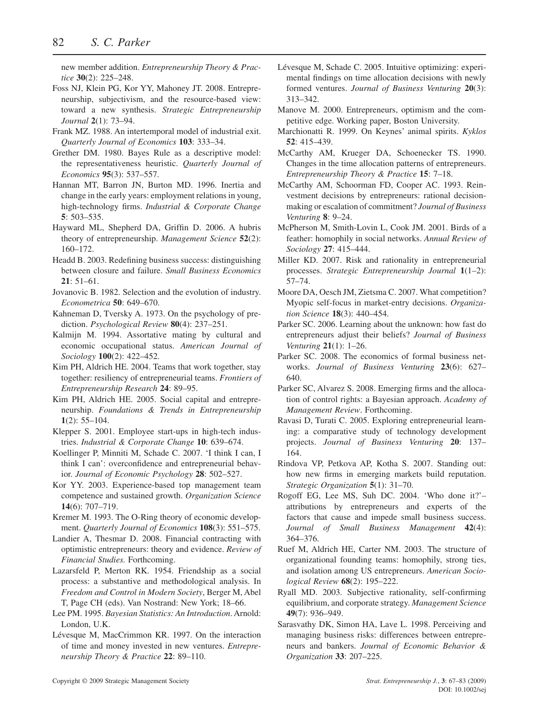new member addition. *Entrepreneurship Theory & Practice* **30**(2): 225–248.

- Foss NJ, Klein PG, Kor YY, Mahoney JT. 2008. Entrepreneurship, subjectivism, and the resource-based view: toward a new synthesis. *Strategic Entrepreneurship Journal* **2**(1): 73–94.
- Frank MZ. 1988. An intertemporal model of industrial exit. *Quarterly Journal of Economics* **103**: 333–34.
- Grether DM. 1980. Bayes Rule as a descriptive model: the representativeness heuristic. *Quarterly Journal of Economics* **95**(3): 537–557.
- Hannan MT, Barron JN, Burton MD. 1996. Inertia and change in the early years: employment relations in young, high-technology firms. *Industrial & Corporate Change*  **5**: 503–535.
- Hayward ML, Shepherd DA, Griffin D. 2006. A hubris theory of entrepreneurship. *Management Science* **52**(2): 160–172.
- Headd B. 2003. Redefining business success: distinguishing between closure and failure. *Small Business Economics*  **21**: 51–61.
- Jovanovic B. 1982. Selection and the evolution of industry. *Econometrica* **50**: 649–670.
- Kahneman D, Tversky A. 1973. On the psychology of prediction. *Psychological Review* **80**(4): 237–251.
- Kalmijn M. 1994. Assortative mating by cultural and economic occupational status. *American Journal of Sociology* **100**(2): 422–452.
- Kim PH, Aldrich HE. 2004. Teams that work together, stay together: resiliency of entrepreneurial teams. *Frontiers of Entrepreneurship Research* **24**: 89–95.
- Kim PH, Aldrich HE. 2005. Social capital and entrepreneurship. *Foundations & Trends in Entrepreneurship* **1**(2): 55–104.
- Klepper S. 2001. Employee start-ups in high-tech industries. *Industrial & Corporate Change* **10**: 639–674.
- Koellinger P, Minniti M, Schade C. 2007. 'I think I can, I think I can': overconfidence and entrepreneurial behavior. *Journal of Economic Psychology* **28**: 502–527.
- Kor YY. 2003. Experience-based top management team competence and sustained growth. *Organization Science*  **14**(6): 707–719.
- Kremer M. 1993. The O-Ring theory of economic development. *Quarterly Journal of Economics* **108**(3): 551–575.
- Landier A, Thesmar D. 2008. Financial contracting with optimistic entrepreneurs: theory and evidence. *Review of Financial Studies.* Forthcoming.
- Lazarsfeld P, Merton RK. 1954. Friendship as a social process: a substantive and methodological analysis. In *Freedom and Control in Modern Society*, Berger M, Abel T, Page CH (eds). Van Nostrand: New York; 18–66.
- Lee PM. 1995. *Bayesian Statistics: An Introduction*. Arnold: London, U.K.
- Lévesque M, MacCrimmon KR. 1997. On the interaction of time and money invested in new ventures. *Entrepreneurship Theory & Practice* **22**: 89–110.
- Lévesque M, Schade C. 2005. Intuitive optimizing: experimental findings on time allocation decisions with newly formed ventures. *Journal of Business Venturing* **20**(3): 313–342.
- Manove M. 2000. Entrepreneurs, optimism and the competitive edge. Working paper, Boston University.
- Marchionatti R. 1999. On Keynes' animal spirits. *Kyklos* **52**: 415–439.
- McCarthy AM, Krueger DA, Schoenecker TS. 1990. Changes in the time allocation patterns of entrepreneurs. *Entrepreneurship Theory & Practice* **15**: 7–18.
- McCarthy AM, Schoorman FD, Cooper AC. 1993. Reinvestment decisions by entrepreneurs: rational decisionmaking or escalation of commitment? *Journal of Business Venturing* **8**: 9–24.
- McPherson M, Smith-Lovin L, Cook JM. 2001. Birds of a feather: homophily in social networks. *Annual Review of Sociology* **27**: 415–444.
- Miller KD. 2007. Risk and rationality in entrepreneurial processes. *Strategic Entrepreneurship Journal* **1**(1–2): 57–74.
- Moore DA, Oesch JM, Zietsma C. 2007. What competition? Myopic self-focus in market-entry decisions. *Organization Science* **18**(3): 440–454.
- Parker SC. 2006. Learning about the unknown: how fast do entrepreneurs adjust their beliefs? *Journal of Business Venturing* **21**(1): 1–26.
- Parker SC. 2008. The economics of formal business networks. *Journal of Business Venturing* **23**(6): 627– 640.
- Parker SC, Alvarez S. 2008. Emerging firms and the allocation of control rights: a Bayesian approach. *Academy of Management Review*. Forthcoming.
- Ravasi D, Turati C. 2005. Exploring entrepreneurial learning: a comparative study of technology development projects. *Journal of Business Venturing* **20**: 137– 164.
- Rindova VP, Petkova AP, Kotha S. 2007. Standing out: how new firms in emerging markets build reputation. *Strategic Organization* **5**(1): 31–70.
- Rogoff EG, Lee MS, Suh DC. 2004. 'Who done it?'– attributions by entrepreneurs and experts of the factors that cause and impede small business success. *Journal of Small Business Management* **42**(4): 364–376.
- Ruef M, Aldrich HE, Carter NM. 2003. The structure of organizational founding teams: homophily, strong ties, and isolation among US entrepreneurs. *American Sociological Review* **68**(2): 195–222.
- Ryall MD. 2003. Subjective rationality, self-confirming equilibrium, and corporate strategy. *Management Science*  **49**(7): 936–949.
- Sarasvathy DK, Simon HA, Lave L. 1998. Perceiving and managing business risks: differences between entrepreneurs and bankers. *Journal of Economic Behavior & Organization* **33**: 207–225.